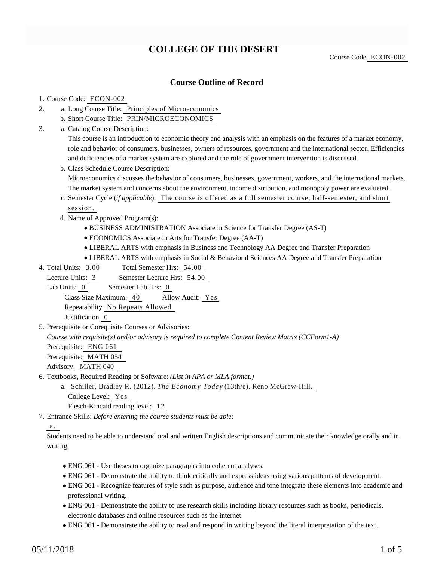# **COLLEGE OF THE DESERT**

Course Code ECON-002

## **Course Outline of Record**

#### 1. Course Code: ECON-002

- a. Long Course Title: Principles of Microeconomics 2.
	- b. Short Course Title: PRIN/MICROECONOMICS
- Catalog Course Description: a. 3.

This course is an introduction to economic theory and analysis with an emphasis on the features of a market economy, role and behavior of consumers, businesses, owners of resources, government and the international sector. Efficiencies and deficiencies of a market system are explored and the role of government intervention is discussed.

- b. Class Schedule Course Description: Microeconomics discusses the behavior of consumers, businesses, government, workers, and the international markets. The market system and concerns about the environment, income distribution, and monopoly power are evaluated.
- c. Semester Cycle (*if applicable*): The course is offered as a full semester course, half-semester, and short session.
- d. Name of Approved Program(s):
	- BUSINESS ADMINISTRATION Associate in Science for Transfer Degree (AS-T)
	- ECONOMICS Associate in Arts for Transfer Degree (AA-T)
	- LIBERAL ARTS with emphasis in Business and Technology AA Degree and Transfer Preparation
	- LIBERAL ARTS with emphasis in Social & Behavioral Sciences AA Degree and Transfer Preparation
- Total Semester Hrs: 54.00 4. Total Units: 3.00

Lecture Units: 3 Semester Lecture Hrs: 54.00

Lab Units: 0 Semester Lab Hrs: 0

Class Size Maximum: 40 Allow Audit: Yes

Repeatability No Repeats Allowed

Justification 0

5. Prerequisite or Corequisite Courses or Advisories:

*Course with requisite(s) and/or advisory is required to complete Content Review Matrix (CCForm1-A)*

Prerequisite: ENG 061

Prerequisite: MATH 054

Advisory: MATH 040

6. Textbooks, Required Reading or Software: (List in APA or MLA format.)

a. Schiller, Bradley R. (2012). *The Economy Today* (13th/e). Reno McGraw-Hill. College Level: Yes Flesch-Kincaid reading level: 12

Entrance Skills: *Before entering the course students must be able:* 7.

### a.

Students need to be able to understand oral and written English descriptions and communicate their knowledge orally and in writing.

- ENG 061 Use theses to organize paragraphs into coherent analyses.
- ENG 061 Demonstrate the ability to think critically and express ideas using various patterns of development.
- ENG 061 Recognize features of style such as purpose, audience and tone integrate these elements into academic and professional writing.
- ENG 061 Demonstrate the ability to use research skills including library resources such as books, periodicals, electronic databases and online resources such as the internet.
- ENG 061 Demonstrate the ability to read and respond in writing beyond the literal interpretation of the text.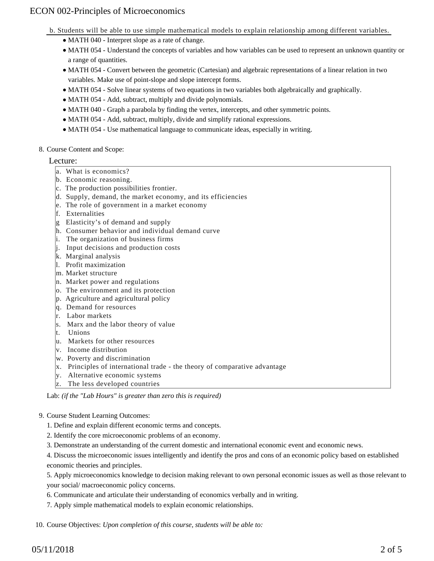b. Students will be able to use simple mathematical models to explain relationship among different variables.

- MATH 040 Interpret slope as a rate of change.
- MATH 054 Understand the concepts of variables and how variables can be used to represent an unknown quantity or a range of quantities.
- MATH 054 Convert between the geometric (Cartesian) and algebraic representations of a linear relation in two variables. Make use of point-slope and slope intercept forms.
- MATH 054 Solve linear systems of two equations in two variables both algebraically and graphically.
- MATH 054 Add, subtract, multiply and divide polynomials.
- MATH 040 Graph a parabola by finding the vertex, intercepts, and other symmetric points.
- MATH 054 Add, subtract, multiply, divide and simplify rational expressions.
- MATH 054 Use mathematical language to communicate ideas, especially in writing.

#### 8. Course Content and Scope:

#### Lecture:

- a. What is economics?
- b. Economic reasoning.
- c. The production possibilities frontier.
- d. Supply, demand, the market economy, and its efficiencies
- e. The role of government in a market economy
- f. Externalities
- g Elasticity's of demand and supply
- h. Consumer behavior and individual demand curve
- i. The organization of business firms
- j. Input decisions and production costs
- k. Marginal analysis
- l. Profit maximization
- m. Market structure
- n. Market power and regulations
- o. The environment and its protection
- p. Agriculture and agricultural policy
- q. Demand for resources
- r. Labor markets
- s. Marx and the labor theory of value
- t. Unions
- u. Markets for other resources
- v. Income distribution
- w. Poverty and discrimination
- x. Principles of international trade the theory of comparative advantage
- y. Alternative economic systems
- z. The less developed countries

Lab: *(if the "Lab Hours" is greater than zero this is required)*

#### 9. Course Student Learning Outcomes:

- 1. Define and explain different economic terms and concepts.
- 2. Identify the core microeconomic problems of an economy.
- 3. Demonstrate an understanding of the current domestic and international economic event and economic news.

4. Discuss the microeconomic issues intelligently and identify the pros and cons of an economic policy based on established economic theories and principles.

5. Apply microeconomics knowledge to decision making relevant to own personal economic issues as well as those relevant to your social/ macroeconomic policy concerns.

- 6. Communicate and articulate their understanding of economics verbally and in writing.
- 7. Apply simple mathematical models to explain economic relationships.

10. Course Objectives: *Upon completion of this course, students will be able to:*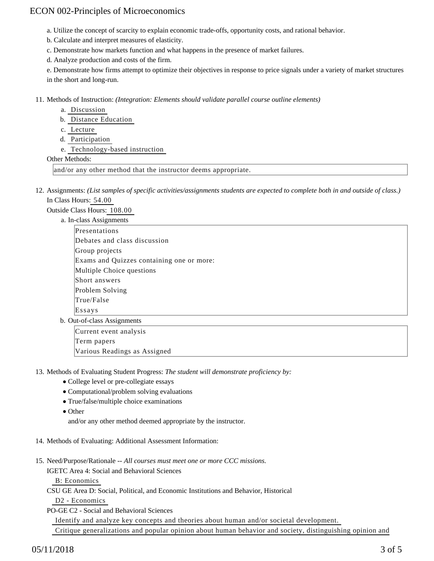a. Utilize the concept of scarcity to explain economic trade-offs, opportunity costs, and rational behavior.

b. Calculate and interpret measures of elasticity.

c. Demonstrate how markets function and what happens in the presence of market failures.

d. Analyze production and costs of the firm.

e. Demonstrate how firms attempt to optimize their objectives in response to price signals under a variety of market structures in the short and long-run.

11. Methods of Instruction: *(Integration: Elements should validate parallel course outline elements)* 

a. Discussion

b. Distance Education

- c. Lecture
- d. Participation
- e. Technology-based instruction

Other Methods:

and/or any other method that the instructor deems appropriate.

12. Assignments: (List samples of specific activities/assignments students are expected to complete both in and outside of class.) In Class Hours: 54.00

Outside Class Hours: 108.00

a. In-class Assignments

- Presentations Debates and class discussion Group projects Exams and Quizzes containing one or more: Multiple Choice questions Short answers Problem Solving True/False Essays
- b. Out-of-class Assignments

Current event analysis Term papers Various Readings as Assigned

13. Methods of Evaluating Student Progress: The student will demonstrate proficiency by:

- College level or pre-collegiate essays
- Computational/problem solving evaluations
- True/false/multiple choice examinations
- Other

and/or any other method deemed appropriate by the instructor.

- 14. Methods of Evaluating: Additional Assessment Information:
- 15. Need/Purpose/Rationale -- All courses must meet one or more CCC missions.
	- IGETC Area 4: Social and Behavioral Sciences

B: Economics

CSU GE Area D: Social, Political, and Economic Institutions and Behavior, Historical

D2 - Economics

PO-GE C2 - Social and Behavioral Sciences

Identify and analyze key concepts and theories about human and/or societal development.

Critique generalizations and popular opinion about human behavior and society, distinguishing opinion and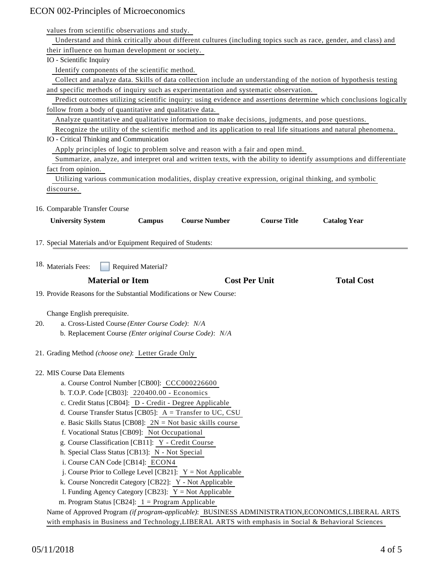values from scientific observations and study.

| Understand and think critically about different cultures (including topics such as race, gender, and class) and                                                                                                                                                  |  |
|------------------------------------------------------------------------------------------------------------------------------------------------------------------------------------------------------------------------------------------------------------------|--|
| their influence on human development or society.                                                                                                                                                                                                                 |  |
| IO - Scientific Inquiry                                                                                                                                                                                                                                          |  |
| Identify components of the scientific method.                                                                                                                                                                                                                    |  |
| Collect and analyze data. Skills of data collection include an understanding of the notion of hypothesis testing                                                                                                                                                 |  |
| and specific methods of inquiry such as experimentation and systematic observation.                                                                                                                                                                              |  |
| Predict outcomes utilizing scientific inquiry: using evidence and assertions determine which conclusions logically                                                                                                                                               |  |
| follow from a body of quantitative and qualitative data.                                                                                                                                                                                                         |  |
| Analyze quantitative and qualitative information to make decisions, judgments, and pose questions.                                                                                                                                                               |  |
| Recognize the utility of the scientific method and its application to real life situations and natural phenomena.                                                                                                                                                |  |
| IO - Critical Thinking and Communication                                                                                                                                                                                                                         |  |
| Apply principles of logic to problem solve and reason with a fair and open mind.                                                                                                                                                                                 |  |
| Summarize, analyze, and interpret oral and written texts, with the ability to identify assumptions and differentiate                                                                                                                                             |  |
| fact from opinion.                                                                                                                                                                                                                                               |  |
| Utilizing various communication modalities, display creative expression, original thinking, and symbolic                                                                                                                                                         |  |
| discourse.                                                                                                                                                                                                                                                       |  |
|                                                                                                                                                                                                                                                                  |  |
| 16. Comparable Transfer Course                                                                                                                                                                                                                                   |  |
| <b>Course Title</b><br><b>Course Number</b><br><b>University System</b><br><b>Campus</b><br><b>Catalog Year</b>                                                                                                                                                  |  |
|                                                                                                                                                                                                                                                                  |  |
| 17. Special Materials and/or Equipment Required of Students:                                                                                                                                                                                                     |  |
|                                                                                                                                                                                                                                                                  |  |
|                                                                                                                                                                                                                                                                  |  |
| 18. Materials Fees:<br><b>Required Material?</b>                                                                                                                                                                                                                 |  |
| <b>Cost Per Unit</b><br><b>Material or Item</b><br><b>Total Cost</b>                                                                                                                                                                                             |  |
| 19. Provide Reasons for the Substantial Modifications or New Course:                                                                                                                                                                                             |  |
|                                                                                                                                                                                                                                                                  |  |
| Change English prerequisite.                                                                                                                                                                                                                                     |  |
| a. Cross-Listed Course (Enter Course Code): N/A<br>20.                                                                                                                                                                                                           |  |
| b. Replacement Course (Enter original Course Code): N/A                                                                                                                                                                                                          |  |
|                                                                                                                                                                                                                                                                  |  |
| 21. Grading Method (choose one): Letter Grade Only                                                                                                                                                                                                               |  |
|                                                                                                                                                                                                                                                                  |  |
| 22. MIS Course Data Elements                                                                                                                                                                                                                                     |  |
| a. Course Control Number [CB00]: CCC000226600                                                                                                                                                                                                                    |  |
| b. T.O.P. Code [CB03]: 220400.00 - Economics                                                                                                                                                                                                                     |  |
| c. Credit Status [CB04]: D - Credit - Degree Applicable                                                                                                                                                                                                          |  |
| d. Course Transfer Status [CB05]: A = Transfer to UC, CSU                                                                                                                                                                                                        |  |
| e. Basic Skills Status [CB08]: $2N = Not basic skills course$                                                                                                                                                                                                    |  |
| f. Vocational Status [CB09]: Not Occupational                                                                                                                                                                                                                    |  |
| g. Course Classification [CB11]: Y - Credit Course                                                                                                                                                                                                               |  |
| h. Special Class Status [CB13]: N - Not Special                                                                                                                                                                                                                  |  |
| i. Course CAN Code [CB14]: ECON4                                                                                                                                                                                                                                 |  |
| j. Course Prior to College Level [CB21]: $Y = Not$ Applicable                                                                                                                                                                                                    |  |
| k. Course Noncredit Category [CB22]: Y - Not Applicable                                                                                                                                                                                                          |  |
| 1. Funding Agency Category [CB23]: $Y = Not$ Applicable                                                                                                                                                                                                          |  |
|                                                                                                                                                                                                                                                                  |  |
|                                                                                                                                                                                                                                                                  |  |
|                                                                                                                                                                                                                                                                  |  |
| m. Program Status [CB24]: $1 =$ Program Applicable<br>Name of Approved Program (if program-applicable): BUSINESS ADMINISTRATION, ECONOMICS, LIBERAL ARTS<br>with emphasis in Business and Technology, LIBERAL ARTS with emphasis in Social & Behavioral Sciences |  |